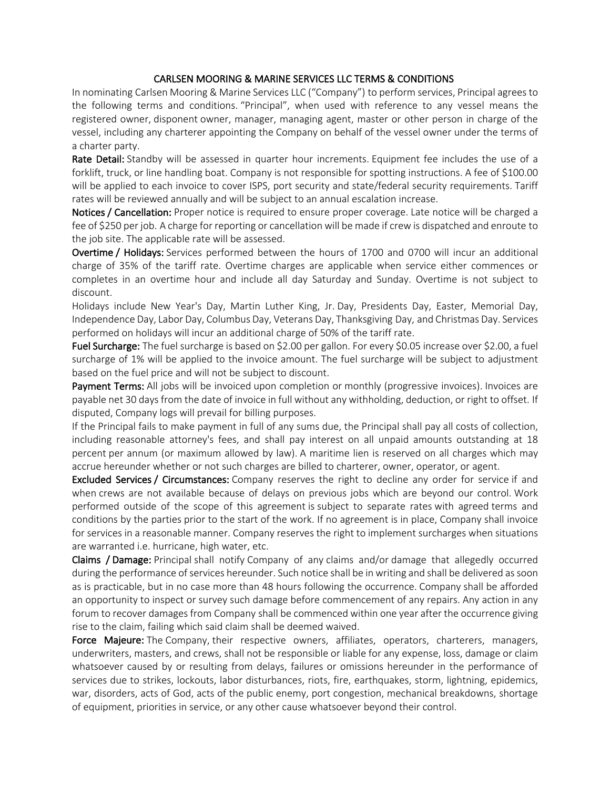## CARLSEN MOORING & MARINE SERVICES LLC TERMS & CONDITIONS

In nominating Carlsen Mooring & Marine Services LLC ("Company") to perform services, Principal agrees to the following terms and conditions. "Principal", when used with reference to any vessel means the registered owner, disponent owner, manager, managing agent, master or other person in charge of the vessel, including any charterer appointing the Company on behalf of the vessel owner under the terms of a charter party.

Rate Detail: Standby will be assessed in quarter hour increments. Equipment fee includes the use of a forklift, truck, or line handling boat. Company is not responsible for spotting instructions. A fee of \$100.00 will be applied to each invoice to cover ISPS, port security and state/federal security requirements. Tariff rates will be reviewed annually and will be subject to an annual escalation increase.

Notices / Cancellation: Proper notice is required to ensure proper coverage. Late notice will be charged a fee of \$250 per job. A charge for reporting or cancellation will be made if crew is dispatched and enroute to the job site. The applicable rate will be assessed.

Overtime / Holidays: Services performed between the hours of 1700 and 0700 will incur an additional charge of 35% of the tariff rate. Overtime charges are applicable when service either commences or completes in an overtime hour and include all day Saturday and Sunday. Overtime is not subject to discount.

Holidays include New Year's Day, Martin Luther King, Jr. Day, Presidents Day, Easter, Memorial Day, Independence Day, Labor Day, Columbus Day, Veterans Day, Thanksgiving Day, and Christmas Day. Services performed on holidays will incur an additional charge of 50% of the tariff rate.

Fuel Surcharge: The fuel surcharge is based on \$2.00 per gallon. For every \$0.05 increase over \$2.00, a fuel surcharge of 1% will be applied to the invoice amount. The fuel surcharge will be subject to adjustment based on the fuel price and will not be subject to discount.

Payment Terms: All jobs will be invoiced upon completion or monthly (progressive invoices). Invoices are payable net 30 days from the date of invoice in full without any withholding, deduction, or right to offset. If disputed, Company logs will prevail for billing purposes.

If the Principal fails to make payment in full of any sums due, the Principal shall pay all costs of collection, including reasonable attorney's fees, and shall pay interest on all unpaid amounts outstanding at 18 percent per annum (or maximum allowed by law). A maritime lien is reserved on all charges which may accrue hereunder whether or not such charges are billed to charterer, owner, operator, or agent.

Excluded Services / Circumstances: Company reserves the right to decline any order for service if and when crews are not available because of delays on previous jobs which are beyond our control. Work performed outside of the scope of this agreement is subject to separate rates with agreed terms and conditions by the parties prior to the start of the work. If no agreement is in place, Company shall invoice for services in a reasonable manner. Company reserves the right to implement surcharges when situations are warranted i.e. hurricane, high water, etc.

Claims / Damage: Principal shall notify Company of any claims and/or damage that allegedly occurred during the performance of services hereunder. Such notice shall be in writing and shall be delivered as soon as is practicable, but in no case more than 48 hours following the occurrence. Company shall be afforded an opportunity to inspect or survey such damage before commencement of any repairs. Any action in any forum to recover damages from Company shall be commenced within one year after the occurrence giving rise to the claim, failing which said claim shall be deemed waived.

Force Majeure: The Company, their respective owners, affiliates, operators, charterers, managers, underwriters, masters, and crews, shall not be responsible or liable for any expense, loss, damage or claim whatsoever caused by or resulting from delays, failures or omissions hereunder in the performance of services due to strikes, lockouts, labor disturbances, riots, fire, earthquakes, storm, lightning, epidemics, war, disorders, acts of God, acts of the public enemy, port congestion, mechanical breakdowns, shortage of equipment, priorities in service, or any other cause whatsoever beyond their control.